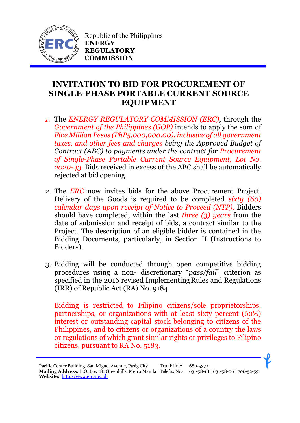

Republic of the Philippines **ENERGY REGULATORY COMMISSION**

## **INVITATION TO BID FOR PROCUREMENT OF SINGLE-PHASE PORTABLE CURRENT SOURCE EQUIPMENT**

- *1.* The *ENERGY REGULATORY COMMISSION (ERC)*, through the *Government of the Philippines (GOP)* intends to apply the sum of *Five Million Pesos (PhP5,000,000.00), inclusive of all government taxes, and other fees and charges being the Approved Budget of Contract (ABC) to payments under the contract for Procurement of Single-Phase Portable Current Source Equipment, Lot No. 2020-43.* Bids received in excess of the ABC shall be automatically rejected at bid opening.
- 2. The *ERC* now invites bids for the above Procurement Project. Delivery of the Goods is required to be completed *sixty (60) calendar days upon receipt of Notice to Proceed (NTP).* Bidders should have completed, within the last *three (3) years* from the date of submission and receipt of bids, a contract similar to the Project. The description of an eligible bidder is contained in the Bidding Documents, particularly, in Section II (Instructions to Bidders).
- 3. Bidding will be conducted through open competitive bidding procedures using a non- discretionary "*pass/fail*" criterion as specified in the 2016 revised Implementing Rules and Regulations (IRR) of Republic Act (RA) No. 9184.

Bidding is restricted to Filipino citizens/sole proprietorships, partnerships, or organizations with at least sixty percent (60%) interest or outstanding capital stock belonging to citizens of the Philippines, and to citizens or organizations of a country the laws or regulations of which grant similar rights or privileges to Filipino citizens, pursuant to RA No. 5183.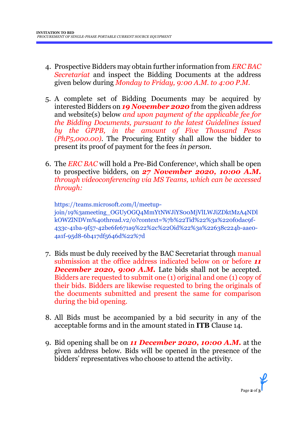- 4. Prospective Bidders may obtain further information from *ERC BAC Secretariat* and inspect the Bidding Documents at the address given below during *Monday to Friday, 9:00 A.M. to 4:00 P.M*.
- 5. A complete set of Bidding Documents may be acquired by interested Bidders on *19 November 2020* from the given address and website(s) below *and upon payment of the applicable fee for the Bidding Documents, pursuant to the latest Guidelines issued by the GPPB, in the amount of Five Thousand Pesos (PhP5,000.00)*. The Procuring Entity shall allow the bidder to present its proof of payment for the fees *in person.*
- 6. The *ERC BAC* will hold a Pre-Bid Conference<sup>1</sup> , which shall be open to prospective bidders, on *27 November 2020, 10:00 A.M. through videoconferencing via MS Teams, which can be accessed through:*

https://teams.microsoft.com/l/meetupjoin/19%3ameeting\_OGUyOGQ4MmYtNWJiYS00MjVlLWJiZDktMzA4NDl kOWZlNDVm%40thread.v2/0?context=%7b%22Tid%22%3a%220f0dac9f-433c-41ba-9f57-42be6fe671a9%22%2c%22Oid%22%3a%22638c224b-aae0- 4a1f-95d8-6b417df5646d%22%7d

- 7. Bids must be duly received by the BAC Secretariat through manual submission at the office address indicated below on or before *11* **December 2020, 9:00 A.M.** Late bids shall not be accepted. Bidders are requested to submit one (1) original and one (1) copy of their bids. Bidders are likewise requested to bring the originals of the documents submitted and present the same for comparison during the bid opening.
- 8. All Bids must be accompanied by a bid security in any of the acceptable forms and in the amount stated in **ITB** Clause 14.
- 9. Bid opening shall be on *11 December 2020, 10:00 A.M.* at the given address below. Bids will be opened in the presence of the bidders' representatives who choose to attend the activity.